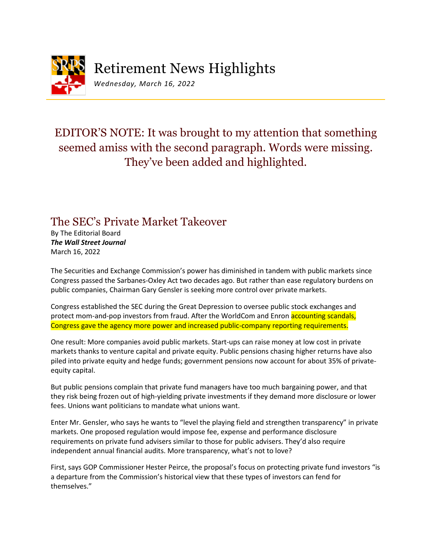

*Wednesday, March 16, 2022*

## EDITOR'S NOTE: It was brought to my attention that something seemed amiss with the second paragraph. Words were missing. They've been added and highlighted.

## The SEC's Private Market Takeover

By The Editorial Board *The Wall Street Journal* March 16, 2022

The Securities and Exchange Commission's power has diminished in tandem with public markets since Congress passed the Sarbanes-Oxley Act two decades ago. But rather than ease regulatory burdens on public companies, Chairman Gary Gensler is seeking more control over private markets.

Congress established the SEC during the Great Depression to oversee public stock exchanges and protect mom-and-pop investors from fraud. After the WorldCom and Enron accounting scandals, Congress gave the agency more power and increased public-company reporting requirements.

One result: More companies avoid public markets. Start-ups can raise money at low cost in private markets thanks to venture capital and private equity. Public pensions chasing higher returns have also piled into private equity and hedge funds; government pensions now account for about 35% of privateequity capital.

But public pensions complain that private fund managers have too much bargaining power, and that they risk being frozen out of high-yielding private investments if they demand more disclosure or lower fees. Unions want politicians to mandate what unions want.

Enter Mr. Gensler, who says he wants to "level the playing field and strengthen transparency" in private markets. One proposed regulation would impose fee, expense and performance disclosure requirements on private fund advisers similar to those for public advisers. They'd also require independent annual financial audits. More transparency, what's not to love?

First, says GOP Commissioner Hester Peirce, the proposal's focus on protecting private fund investors "is a departure from the Commission's historical view that these types of investors can fend for themselves."